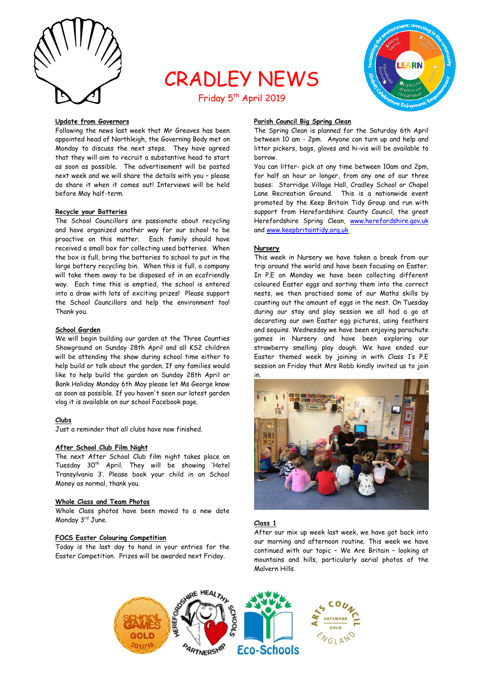

# CRADLEY NEWS Friday 5<sup>th</sup> April 2019



## **Update from Governors**

Following the news last week that Mr Greaves has been appointed head of Northleigh, the Governing Body met on Monday to discuss the next steps. They have agreed that they will aim to recruit a substantive head to start as soon as possible. The advertisement will be posted next week and we will share the details with you – please do share it when it comes out! Interviews will be held before May half-term.

#### **Recycle your Batteries**

The School Councillors are passionate about recycling and have organized another way for our school to be proactive on this matter. Each family should have received a small box for collecting used batteries. When the box is full, bring the batteries to school to put in the large battery recycling bin. When this is full, a company will take them away to be disposed of in an ecofriendly way. Each time this is emptied, the school is entered into a draw with lots of exciting prizes! Please support the School Councillors and help the environment too! Thank you.

#### **School Garden**

We will begin building our garden at the Three Counties Showground on Sunday 28th April and all KS2 children will be attending the show during school time either to help build or talk about the garden. If any families would like to help build the garden on Sunday 28th April or Bank Holiday Monday 6th May please let Ms George know as soon as possible. If you haven't seen our latest garden vlog it is available on our school Facebook page.

# **Clubs**

Just a reminder that all clubs have now finished.

#### **After School Club Film Night**

The next After School Club film night takes place on Tuesday 30<sup>th</sup> April. They will be showing 'Hotel Transylvania 3'. Please book your child in on School Money as normal, thank you.

# **Whole Class and Team Photos**

Whole Class photos have been moved to a new date Monday 3<sup>rd</sup> June.

# **FOCS Easter Colouring Competition**

Today is the last day to hand in your entries for the Easter Competition. Prizes will be awarded next Friday.

# **Parish Council Big Spring Clean**

The Spring Clean is planned for the Saturday 6th April between 10 am - 2pm. Anyone can turn up and help and litter pickers, bags, gloves and hi-vis will be available to borrow.

You can litter- pick at any time between 10am and 2pm, for half an hour or longer, from any one of our three bases: Storridge Village Hall, Cradley School or Chapel Lane Recreation Ground. This is a nationwide event promoted by the Keep Britain Tidy Group and run with support from Herefordshire County Council, the great Herefordshire Spring Clean, [www.herefordshire.gov.uk](http://www.herefordshire.gov.uk/) and [www.keepbritaintidy.org.uk](http://www.keepbritaintidy.org.uk/)

## **Nursery**

This week in Nursery we have taken a break from our trip around the world and have been focusing on Easter. In P.E on Monday we have been collecting different coloured Easter eggs and sorting them into the correct nests, we then practised some of our Maths skills by counting out the amount of eggs in the nest. On Tuesday during our stay and play session we all had a go at decorating our own Easter egg pictures, using feathers and sequins. Wednesday we have been enjoying parachute games in Nursery and have been exploring our strawberry smelling play dough. We have ended our Easter themed week by joining in with Class 1's P.E session on Friday that Mrs Robb kindly invited us to join in.



#### **Class 1**

After our mix up week last week, we have got back into our morning and afternoon routine. This week we have continued with our topic – We Are Britain – looking at mountains and hills, particularly aerial photos of the Malvern Hills.

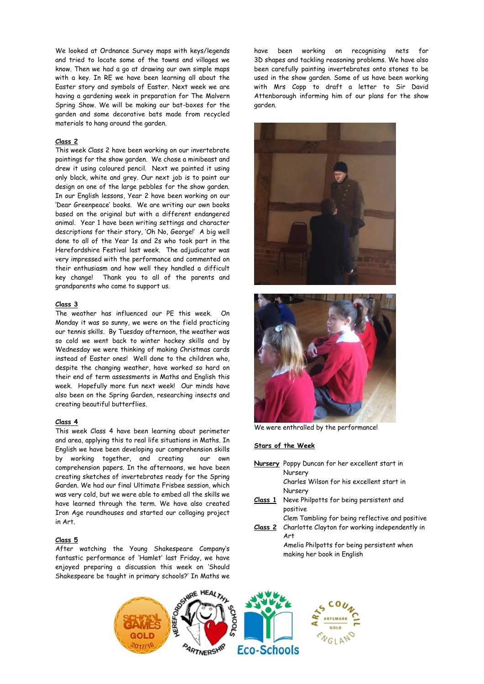We looked at Ordnance Survey maps with keys/legends and tried to locate some of the towns and villages we know. Then we had a go at drawing our own simple maps with a key. In RE we have been learning all about the Easter story and symbols of Easter. Next week we are having a gardening week in preparation for The Malvern Spring Show. We will be making our bat-boxes for the garden and some decorative bats made from recycled materials to hang around the garden.

#### **Class 2**

This week Class 2 have been working on our invertebrate paintings for the show garden. We chose a minibeast and drew it using coloured pencil. Next we painted it using only black, white and grey. Our next job is to paint our design on one of the large pebbles for the show garden. In our English lessons, Year 2 have been working on our 'Dear Greenpeace' books. We are writing our own books based on the original but with a different endangered animal. Year 1 have been writing settings and character descriptions for their story, 'Oh No, George!' A big well done to all of the Year 1s and 2s who took part in the Herefordshire Festival last week. The adjudicator was very impressed with the performance and commented on their enthusiasm and how well they handled a difficult key change! Thank you to all of the parents and grandparents who came to support us.

#### **Class 3**

The weather has influenced our PE this week. On Monday it was so sunny, we were on the field practicing our tennis skills. By Tuesday afternoon, the weather was so cold we went back to winter hockey skills and by Wednesday we were thinking of making Christmas cards instead of Easter ones! Well done to the children who, despite the changing weather, have worked so hard on their end of term assessments in Maths and English this week. Hopefully more fun next week! Our minds have also been on the Spring Garden, researching insects and creating beautiful butterflies.

#### **Class 4**

This week Class 4 have been learning about perimeter and area, applying this to real life situations in Maths. In English we have been developing our comprehension skills by working together, and creating our own comprehension papers. In the afternoons, we have been creating sketches of invertebrates ready for the Spring Garden. We had our final Ultimate Frisbee session, which was very cold, but we were able to embed all the skills we have learned through the term. We have also created Iron Age roundhouses and started our collaging project in Art.

#### **Class 5**

After watching the Young Shakespeare Company's fantastic performance of 'Hamlet' last Friday, we have enjoyed preparing a discussion this week on 'Should Shakespeare be taught in primary schools?' In Maths we

have been working on recognising nets for 3D shapes and tackling reasoning problems. We have also been carefully painting invertebrates onto stones to be used in the show garden. Some of us have been working with Mrs Copp to draft a letter to Sir David Attenborough informing him of our plans for the show garden.





We were enthralled by the performance!

## **Stars of the Week**

|         | Nursery Poppy Duncan for her excellent start in                          |
|---------|--------------------------------------------------------------------------|
|         | Nursery                                                                  |
|         | Charles Wilson for his excellent start in                                |
|         | Nursery                                                                  |
| Class 1 | Neve Philpotts for being persistent and<br>positive                      |
|         | Clem Tambling for being reflective and positive                          |
| Class 2 | Charlotte Clayton for working independently in<br>Art                    |
|         | Amelia Philpotts for being persistent when<br>making her book in English |
|         |                                                                          |